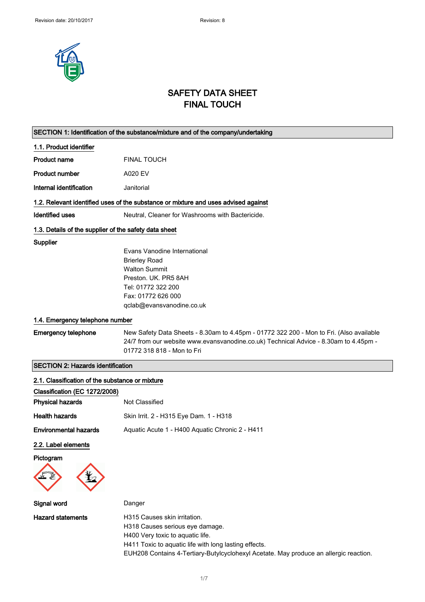

# SAFETY DATA SHEET FINAL TOUCH

|                                                       | SECTION 1: Identification of the substance/mixture and of the company/undertaking       |
|-------------------------------------------------------|-----------------------------------------------------------------------------------------|
| 1.1. Product identifier                               |                                                                                         |
| <b>Product name</b>                                   | <b>FINAL TOUCH</b>                                                                      |
| <b>Product number</b>                                 | <b>A020 EV</b>                                                                          |
| Internal identification                               | Janitorial                                                                              |
|                                                       | 1.2. Relevant identified uses of the substance or mixture and uses advised against      |
| <b>Identified uses</b>                                | Neutral, Cleaner for Washrooms with Bactericide.                                        |
| 1.3. Details of the supplier of the safety data sheet |                                                                                         |
| Supplier                                              |                                                                                         |
|                                                       | Evans Vanodine International                                                            |
|                                                       | <b>Brierley Road</b>                                                                    |
|                                                       | <b>Walton Summit</b>                                                                    |
|                                                       | Preston, UK, PR5 8AH                                                                    |
|                                                       | Tel: 01772 322 200                                                                      |
|                                                       | Fax: 01772 626 000                                                                      |
|                                                       | qclab@evansvanodine.co.uk                                                               |
| 1.4. Emergency telephone number                       |                                                                                         |
| <b>Emergency telephone</b>                            | New Safety Data Sheets - 8.30am to 4.45pm - 01772 322 200 - Mon to Fri. (Also available |
|                                                       | 24/7 from our website www.evansvanodine.co.uk) Technical Advice - 8.30am to 4.45pm -    |
|                                                       | 01772 318 818 - Mon to Fri                                                              |
|                                                       |                                                                                         |
| <b>SECTION 2: Hazards identification</b>              |                                                                                         |
| 2.1. Classification of the substance or mixture       |                                                                                         |
| Classification (EC 1272/2008)                         |                                                                                         |
| <b>Physical hazards</b>                               | Not Classified                                                                          |
| <b>Health hazards</b>                                 | Skin Irrit. 2 - H315 Eye Dam. 1 - H318                                                  |
| <b>Environmental hazards</b>                          | Aquatic Acute 1 - H400 Aquatic Chronic 2 - H411                                         |
| 2.2. Label elements                                   |                                                                                         |
| Pictogram                                             |                                                                                         |
|                                                       |                                                                                         |
| Signal word                                           | Danger                                                                                  |
| <b>Hazard statements</b>                              | H315 Causes skin irritation.                                                            |
|                                                       | H318 Causes serious eye damage.                                                         |
|                                                       | H400 Very toxic to aquatic life.                                                        |
|                                                       | H411 Toxic to aquatic life with long lasting effects.                                   |
|                                                       | EUH208 Contains 4-Tertiary-Butylcyclohexyl Acetate. May produce an allergic reaction.   |
|                                                       |                                                                                         |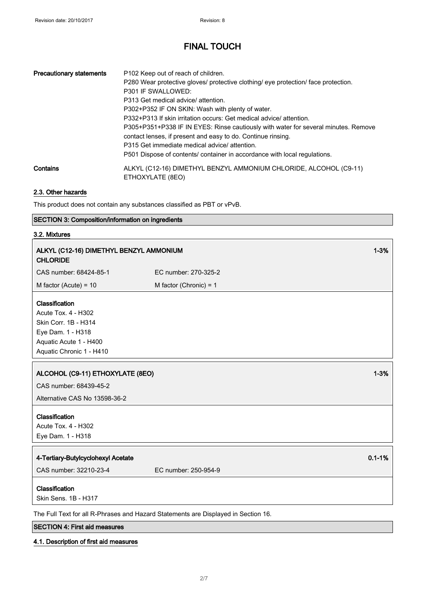| <b>Precautionary statements</b><br>Contains | P <sub>102</sub> Keep out of reach of children.<br>P280 Wear protective gloves/ protective clothing/ eye protection/ face protection.<br>P301 IF SWALLOWED:<br>P313 Get medical advice/ attention.<br>P302+P352 IF ON SKIN: Wash with plenty of water.<br>P332+P313 If skin irritation occurs: Get medical advice/ attention.<br>P305+P351+P338 IF IN EYES: Rinse cautiously with water for several minutes. Remove |
|---------------------------------------------|---------------------------------------------------------------------------------------------------------------------------------------------------------------------------------------------------------------------------------------------------------------------------------------------------------------------------------------------------------------------------------------------------------------------|
|                                             | contact lenses, if present and easy to do. Continue rinsing.<br>P315 Get immediate medical advice/ attention.<br>P501 Dispose of contents/ container in accordance with local regulations.<br>ALKYL (C12-16) DIMETHYL BENZYL AMMONIUM CHLORIDE, ALCOHOL (C9-11)<br>ETHOXYLATE (8EO)                                                                                                                                 |

### 2.3. Other hazards

This product does not contain any substances classified as PBT or vPvB.

### SECTION 3: Composition/information on ingredients

### 3.2. Mixtures

| ALKYL (C12-16) DIMETHYL BENZYL AMMONIUM<br><b>CHLORIDE</b>                                                                               |                                                                                    | $1 - 3%$   |
|------------------------------------------------------------------------------------------------------------------------------------------|------------------------------------------------------------------------------------|------------|
| CAS number: 68424-85-1                                                                                                                   | EC number: 270-325-2                                                               |            |
| M factor (Acute) = $10$                                                                                                                  | M factor (Chronic) = $1$                                                           |            |
| Classification<br>Acute Tox. 4 - H302<br>Skin Corr. 1B - H314<br>Eye Dam. 1 - H318<br>Aquatic Acute 1 - H400<br>Aquatic Chronic 1 - H410 |                                                                                    |            |
| ALCOHOL (C9-11) ETHOXYLATE (8EO)<br>CAS number: 68439-45-2<br>Alternative CAS No 13598-36-2                                              |                                                                                    | $1 - 3%$   |
| Classification<br>Acute Tox. 4 - H302<br>Eye Dam. 1 - H318                                                                               |                                                                                    |            |
| 4-Tertiary-Butylcyclohexyl Acetate<br>CAS number: 32210-23-4                                                                             | EC number: 250-954-9                                                               | $0.1 - 1%$ |
| Classification<br>Skin Sens. 1B - H317                                                                                                   | The Full Text for all R-Phrases and Hazard Statements are Displayed in Section 16. |            |
|                                                                                                                                          |                                                                                    |            |

### SECTION 4: First aid measures

### 4.1. Description of first aid measures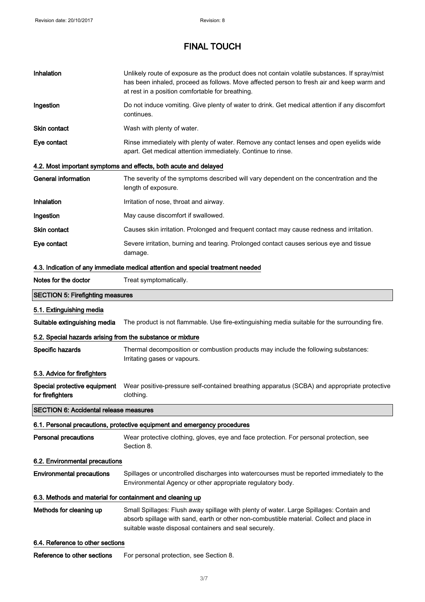| Inhalation                                                                      | Unlikely route of exposure as the product does not contain volatile substances. If spray/mist<br>has been inhaled, proceed as follows. Move affected person to fresh air and keep warm and<br>at rest in a position comfortable for breathing. |  |
|---------------------------------------------------------------------------------|------------------------------------------------------------------------------------------------------------------------------------------------------------------------------------------------------------------------------------------------|--|
| Ingestion                                                                       | Do not induce vomiting. Give plenty of water to drink. Get medical attention if any discomfort<br>continues.                                                                                                                                   |  |
| Skin contact                                                                    | Wash with plenty of water.                                                                                                                                                                                                                     |  |
| Eye contact                                                                     | Rinse immediately with plenty of water. Remove any contact lenses and open eyelids wide<br>apart. Get medical attention immediately. Continue to rinse.                                                                                        |  |
|                                                                                 | 4.2. Most important symptoms and effects, both acute and delayed                                                                                                                                                                               |  |
| <b>General information</b>                                                      | The severity of the symptoms described will vary dependent on the concentration and the<br>length of exposure.                                                                                                                                 |  |
| Inhalation                                                                      | Irritation of nose, throat and airway.                                                                                                                                                                                                         |  |
| Ingestion                                                                       | May cause discomfort if swallowed.                                                                                                                                                                                                             |  |
| Skin contact                                                                    | Causes skin irritation. Prolonged and frequent contact may cause redness and irritation.                                                                                                                                                       |  |
| Eye contact                                                                     | Severe irritation, burning and tearing. Prolonged contact causes serious eye and tissue<br>damage.                                                                                                                                             |  |
| 4.3. Indication of any immediate medical attention and special treatment needed |                                                                                                                                                                                                                                                |  |
| Notes for the doctor                                                            | Treat symptomatically.                                                                                                                                                                                                                         |  |
| <b>SECTION 5: Firefighting measures</b>                                         |                                                                                                                                                                                                                                                |  |
| 5.1. Extinguishing media                                                        |                                                                                                                                                                                                                                                |  |
| Suitable extinguishing media                                                    | The product is not flammable. Use fire-extinguishing media suitable for the surrounding fire.                                                                                                                                                  |  |
| 5.2. Special hazards arising from the substance or mixture                      |                                                                                                                                                                                                                                                |  |
| Specific hazards                                                                | Thermal decomposition or combustion products may include the following substances:<br>Irritating gases or vapours.                                                                                                                             |  |
| 5.3. Advice for firefighters                                                    |                                                                                                                                                                                                                                                |  |
| for firefighters                                                                | Special protective equipment Wear positive-pressure self-contained breathing apparatus (SCBA) and appropriate protective<br>clothing.                                                                                                          |  |
| <b>SECTION 6: Accidental release measures</b>                                   |                                                                                                                                                                                                                                                |  |
|                                                                                 | 6.1. Personal precautions, protective equipment and emergency procedures                                                                                                                                                                       |  |
| <b>Personal precautions</b>                                                     | Wear protective clothing, gloves, eye and face protection. For personal protection, see<br>Section 8.                                                                                                                                          |  |
| 6.2. Environmental precautions                                                  |                                                                                                                                                                                                                                                |  |
| <b>Environmental precautions</b>                                                | Spillages or uncontrolled discharges into watercourses must be reported immediately to the<br>Environmental Agency or other appropriate regulatory body.                                                                                       |  |
| 6.3. Methods and material for containment and cleaning up                       |                                                                                                                                                                                                                                                |  |
| Methods for cleaning up                                                         | Small Spillages: Flush away spillage with plenty of water. Large Spillages: Contain and<br>absorb spillage with sand, earth or other non-combustible material. Collect and place in<br>suitable waste disposal containers and seal securely.   |  |
| 6.4. Reference to other sections                                                |                                                                                                                                                                                                                                                |  |
| Reference to other sections                                                     | For personal protection, see Section 8.                                                                                                                                                                                                        |  |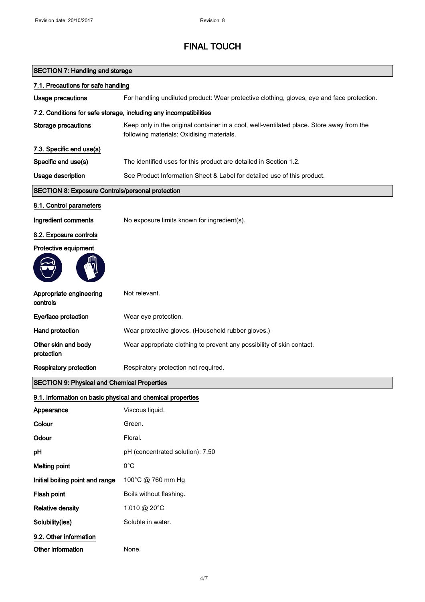| <b>SECTION 7: Handling and storage</b>                     |                                                                                                                                        |  |
|------------------------------------------------------------|----------------------------------------------------------------------------------------------------------------------------------------|--|
| 7.1. Precautions for safe handling                         |                                                                                                                                        |  |
| <b>Usage precautions</b>                                   | For handling undiluted product: Wear protective clothing, gloves, eye and face protection.                                             |  |
|                                                            | 7.2. Conditions for safe storage, including any incompatibilities                                                                      |  |
| <b>Storage precautions</b>                                 | Keep only in the original container in a cool, well-ventilated place. Store away from the<br>following materials: Oxidising materials. |  |
| 7.3. Specific end use(s)                                   |                                                                                                                                        |  |
| Specific end use(s)                                        | The identified uses for this product are detailed in Section 1.2.                                                                      |  |
| <b>Usage description</b>                                   | See Product Information Sheet & Label for detailed use of this product.                                                                |  |
| <b>SECTION 8: Exposure Controls/personal protection</b>    |                                                                                                                                        |  |
| 8.1. Control parameters                                    |                                                                                                                                        |  |
| Ingredient comments                                        | No exposure limits known for ingredient(s).                                                                                            |  |
| 8.2. Exposure controls                                     |                                                                                                                                        |  |
| Protective equipment                                       |                                                                                                                                        |  |
|                                                            |                                                                                                                                        |  |
| Appropriate engineering<br>controls                        | Not relevant.                                                                                                                          |  |
| Eye/face protection                                        | Wear eye protection.                                                                                                                   |  |
| Hand protection                                            | Wear protective gloves. (Household rubber gloves.)                                                                                     |  |
| Other skin and body<br>protection                          | Wear appropriate clothing to prevent any possibility of skin contact.                                                                  |  |
| <b>Respiratory protection</b>                              | Respiratory protection not required.                                                                                                   |  |
| <b>SECTION 9: Physical and Chemical Properties</b>         |                                                                                                                                        |  |
| 9.1. Information on basic physical and chemical properties |                                                                                                                                        |  |
| Appearance                                                 | Viscous liquid.                                                                                                                        |  |
| Colour                                                     | Green.                                                                                                                                 |  |
| Odour                                                      | Floral.                                                                                                                                |  |
| pH                                                         | pH (concentrated solution): 7.50                                                                                                       |  |
| <b>Melting point</b>                                       | $0^{\circ}$ C                                                                                                                          |  |
| Initial boiling point and range                            | 100°C @ 760 mm Hg                                                                                                                      |  |
| Flash point                                                | Boils without flashing.                                                                                                                |  |
| <b>Relative density</b>                                    | 1.010 @ 20°C                                                                                                                           |  |
| Solubility(ies)                                            | Soluble in water.                                                                                                                      |  |
| 9.2. Other information                                     |                                                                                                                                        |  |
| Other information                                          | None.                                                                                                                                  |  |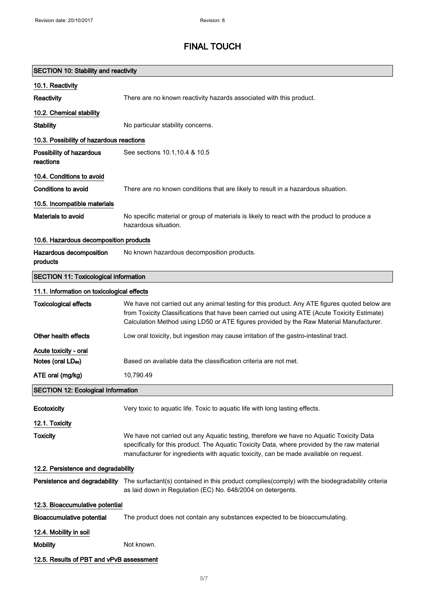| <b>SECTION 10: Stability and reactivity</b>  |                                                                                                                                                                                                                                                                                          |  |
|----------------------------------------------|------------------------------------------------------------------------------------------------------------------------------------------------------------------------------------------------------------------------------------------------------------------------------------------|--|
| 10.1. Reactivity                             |                                                                                                                                                                                                                                                                                          |  |
| Reactivity                                   | There are no known reactivity hazards associated with this product.                                                                                                                                                                                                                      |  |
| 10.2. Chemical stability                     |                                                                                                                                                                                                                                                                                          |  |
| <b>Stability</b>                             | No particular stability concerns.                                                                                                                                                                                                                                                        |  |
| 10.3. Possibility of hazardous reactions     |                                                                                                                                                                                                                                                                                          |  |
| Possibility of hazardous<br>reactions        | See sections 10.1, 10.4 & 10.5                                                                                                                                                                                                                                                           |  |
| 10.4. Conditions to avoid                    |                                                                                                                                                                                                                                                                                          |  |
| Conditions to avoid                          | There are no known conditions that are likely to result in a hazardous situation.                                                                                                                                                                                                        |  |
| 10.5. Incompatible materials                 |                                                                                                                                                                                                                                                                                          |  |
| <b>Materials to avoid</b>                    | No specific material or group of materials is likely to react with the product to produce a<br>hazardous situation.                                                                                                                                                                      |  |
| 10.6. Hazardous decomposition products       |                                                                                                                                                                                                                                                                                          |  |
| Hazardous decomposition<br>products          | No known hazardous decomposition products.                                                                                                                                                                                                                                               |  |
| <b>SECTION 11: Toxicological information</b> |                                                                                                                                                                                                                                                                                          |  |
| 11.1. Information on toxicological effects   |                                                                                                                                                                                                                                                                                          |  |
| <b>Toxicological effects</b>                 | We have not carried out any animal testing for this product. Any ATE figures quoted below are<br>from Toxicity Classifications that have been carried out using ATE (Acute Toxicity Estimate)<br>Calculation Method using LD50 or ATE figures provided by the Raw Material Manufacturer. |  |
| Other health effects                         | Low oral toxicity, but ingestion may cause irritation of the gastro-intestinal tract.                                                                                                                                                                                                    |  |
| Acute toxicity - oral                        |                                                                                                                                                                                                                                                                                          |  |
| Notes (oral LD <sub>50</sub> )               | Based on available data the classification criteria are not met.                                                                                                                                                                                                                         |  |
| ATE oral (mg/kg)                             | 10,790.49                                                                                                                                                                                                                                                                                |  |
| <b>SECTION 12: Ecological Information</b>    |                                                                                                                                                                                                                                                                                          |  |
| Ecotoxicity                                  | Very toxic to aquatic life. Toxic to aquatic life with long lasting effects.                                                                                                                                                                                                             |  |
| 12.1. Toxicity                               |                                                                                                                                                                                                                                                                                          |  |
| <b>Toxicity</b>                              | We have not carried out any Aquatic testing, therefore we have no Aquatic Toxicity Data<br>specifically for this product. The Aquatic Toxicity Data, where provided by the raw material<br>manufacturer for ingredients with aquatic toxicity, can be made available on request.         |  |
| 12.2. Persistence and degradability          |                                                                                                                                                                                                                                                                                          |  |
|                                              | Persistence and degradability The surfactant(s) contained in this product complies(comply) with the biodegradability criteria<br>as laid down in Regulation (EC) No. 648/2004 on detergents.                                                                                             |  |
| 12.3. Bioaccumulative potential              |                                                                                                                                                                                                                                                                                          |  |
| <b>Bioaccumulative potential</b>             | The product does not contain any substances expected to be bioaccumulating.                                                                                                                                                                                                              |  |
| 12.4. Mobility in soil                       |                                                                                                                                                                                                                                                                                          |  |
| <b>Mobility</b>                              | Not known.                                                                                                                                                                                                                                                                               |  |
| 12.5. Results of PBT and vPvB assessment     |                                                                                                                                                                                                                                                                                          |  |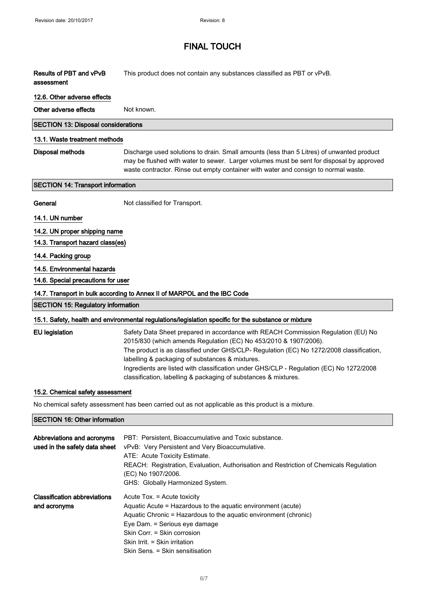| Results of PBT and vPvB | This product does not contain any substances classified as PBT or vPvB. |
|-------------------------|-------------------------------------------------------------------------|
| assessment              |                                                                         |

#### 12.6. Other adverse effects

Other adverse effects Not known.

#### SECTION 13: Disposal considerations

#### 13.1. Waste treatment methods

Disposal methods Discharge used solutions to drain. Small amounts (less than 5 Litres) of unwanted product may be flushed with water to sewer. Larger volumes must be sent for disposal by approved waste contractor. Rinse out empty container with water and consign to normal waste.

#### SECTION 14: Transport information

General Not classified for Transport.

### 14.1. UN number

14.2. UN proper shipping name

14.3. Transport hazard class(es)

#### 14.4. Packing group

#### 14.5. Environmental hazards

14.6. Special precautions for user

#### 14.7. Transport in bulk according to Annex II of MARPOL and the IBC Code

# SECTION 15: Regulatory information

| 15.1. Safety, health and environmental regulations/legislation specific for the substance or mixture |                                                                                          |
|------------------------------------------------------------------------------------------------------|------------------------------------------------------------------------------------------|
| EU legislation                                                                                       | Safety Data Sheet prepared in accordance with REACH Commission Regulation (EU) No        |
|                                                                                                      | 2015/830 (which amends Regulation (EC) No 453/2010 & 1907/2006).                         |
|                                                                                                      | The product is as classified under GHS/CLP- Regulation (EC) No 1272/2008 classification, |
|                                                                                                      | labelling & packaging of substances & mixtures.                                          |
|                                                                                                      | Ingredients are listed with classification under GHS/CLP - Regulation (EC) No 1272/2008  |
|                                                                                                      | classification, labelling & packaging of substances & mixtures.                          |

#### 15.2. Chemical safety assessment

No chemical safety assessment has been carried out as not applicable as this product is a mixture.

#### SECTION 16: Other information

| Abbreviations and acronyms<br>used in the safety data sheet | PBT: Persistent, Bioaccumulative and Toxic substance.<br>vPvB: Very Persistent and Very Bioaccumulative.<br>ATE: Acute Toxicity Estimate.<br>REACH: Registration, Evaluation, Authorisation and Restriction of Chemicals Regulation<br>(EC) No 1907/2006.<br>GHS: Globally Harmonized System.       |
|-------------------------------------------------------------|-----------------------------------------------------------------------------------------------------------------------------------------------------------------------------------------------------------------------------------------------------------------------------------------------------|
| <b>Classification abbreviations</b><br>and acronyms         | Acute Tox. = Acute toxicity<br>Aquatic Acute = Hazardous to the aquatic environment (acute)<br>Aquatic Chronic = Hazardous to the aquatic environment (chronic)<br>Eye Dam. = Serious eye damage<br>Skin Corr. = Skin corrosion<br>Skin Irrit. = Skin irritation<br>Skin Sens. = Skin sensitisation |